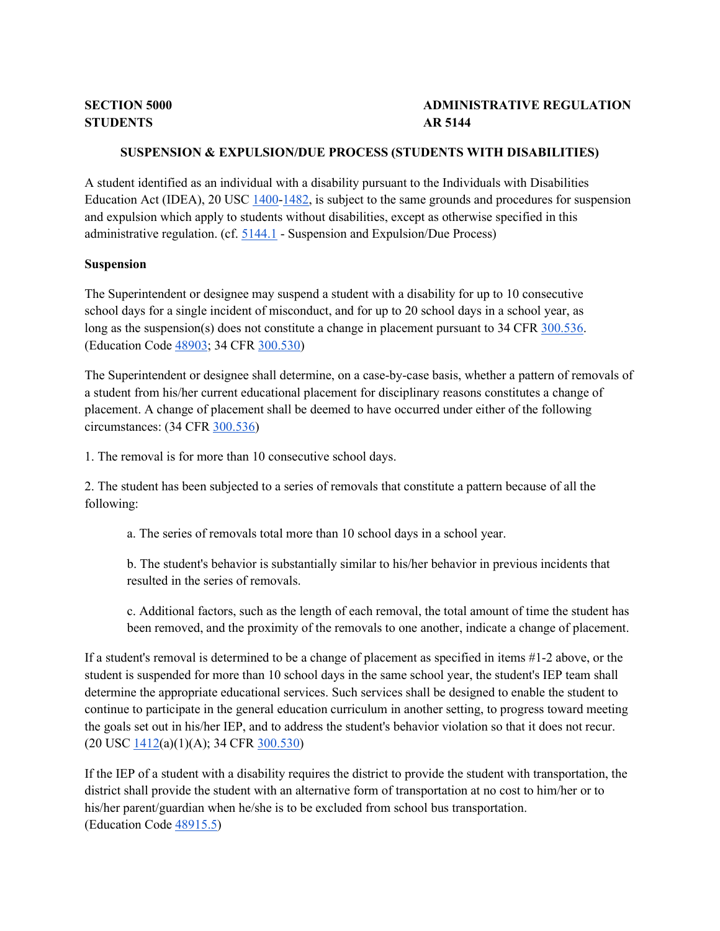# **ADMINISTRATIVE REGULATION**

## **SUSPENSION & EXPULSION/DUE PROCESS (STUDENTS WITH DISABILITIES)**

Education Act (IDEA), 20 USC [1400](http://gamutonline.net/displayPolicy/364360/5)[-1482,](http://gamutonline.net/displayPolicy/364412/5) is subject to the same grounds and procedures for suspension administrative regulation. (cf. [5144.1](http://gamutonline.net/displayPolicy/909488/5) - Suspension and Expulsion/Due Process) A student identified as an individual with a disability pursuant to the Individuals with Disabilities and expulsion which apply to students without disabilities, except as otherwise specified in this

## **Suspension**

 The Superintendent or designee may suspend a student with a disability for up to 10 consecutive school days for a single incident of misconduct, and for up to 20 school days in a school year, as long as the suspension(s) does not constitute a change in placement pursuant to 34 CFR [300.536.](http://gamutonline.net/displayPolicy/421147/5) (Education Code [48903;](http://gamutonline.net/displayPolicy/137975/5) 34 CFR [300.530\)](http://gamutonline.net/displayPolicy/421141/5)

 placement. A change of placement shall be deemed to have occurred under either of the following circumstances: (34 CFR [300.536\)](http://gamutonline.net/displayPolicy/421147/5) The Superintendent or designee shall determine, on a case-by-case basis, whether a pattern of removals of a student from his/her current educational placement for disciplinary reasons constitutes a change of

1. The removal is for more than 10 consecutive school days.

2. The student has been subjected to a series of removals that constitute a pattern because of all the following:

a. The series of removals total more than 10 school days in a school year.

 b. The student's behavior is substantially similar to his/her behavior in previous incidents that resulted in the series of removals.

 c. Additional factors, such as the length of each removal, the total amount of time the student has been removed, and the proximity of the removals to one another, indicate a change of placement.

 If a student's removal is determined to be a change of placement as specified in items #1-2 above, or the student is suspended for more than 10 school days in the same school year, the student's IEP team shall determine the appropriate educational services. Such services shall be designed to enable the student to the goals set out in his/her IEP, and to address the student's behavior violation so that it does not recur. continue to participate in the general education curriculum in another setting, to progress toward meeting (20 USC [1412\(](http://gamutonline.net/displayPolicy/364371/5)a)(1)(A); 34 CFR [300.530\)](http://gamutonline.net/displayPolicy/421141/5)

 If the IEP of a student with a disability requires the district to provide the student with transportation, the district shall provide the student with an alternative form of transportation at no cost to him/her or to his/her parent/guardian when he/she is to be excluded from school bus transportation. (Education Code [48915.5\)](http://gamutonline.net/displayPolicy/137528/5)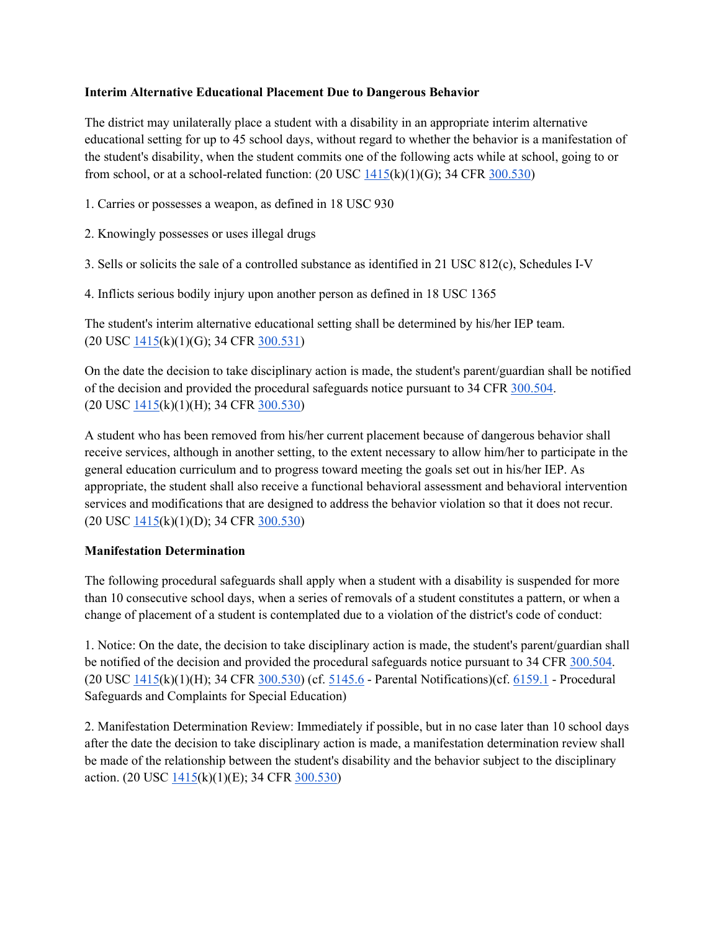## **Interim Alternative Educational Placement Due to Dangerous Behavior**

The district may unilaterally place a student with a disability in an appropriate interim alternative educational setting for up to 45 school days, without regard to whether the behavior is a manifestation of the student's disability, when the student commits one of the following acts while at school, going to or from school, or at a school-related function:  $(20 \text{ USC } 1415 \text{(k)}(1)(G); 34 \text{ CFR } 300.530)$ 

1. Carries or possesses a weapon, as defined in 18 USC 930

- 2. Knowingly possesses or uses illegal drugs
- 3. Sells or solicits the sale of a controlled substance as identified in 21 USC 812(c), Schedules I-V
- 4. Inflicts serious bodily injury upon another person as defined in 18 USC 1365

The student's interim alternative educational setting shall be determined by his/her IEP team. (20 USC [1415\(](http://gamutonline.net/displayPolicy/364374/5)k)(1)(G); 34 CFR [300.531\)](http://gamutonline.net/displayPolicy/421142/5)

of the decision and provided the procedural safeguards notice pursuant to 34 CF[R 300.504.](http://gamutonline.net/displayPolicy/421124/5) On the date the decision to take disciplinary action is made, the student's parent/guardian shall be notified (20 USC [1415\(](http://gamutonline.net/displayPolicy/364374/5)k)(1)(H); 34 CFR [300.530\)](http://gamutonline.net/displayPolicy/421141/5)

 A student who has been removed from his/her current placement because of dangerous behavior shall receive services, although in another setting, to the extent necessary to allow him/her to participate in the appropriate, the student shall also receive a functional behavioral assessment and behavioral intervention services and modifications that are designed to address the behavior violation so that it does not recur. general education curriculum and to progress toward meeting the goals set out in his/her IEP. As (20 USC [1415\(](http://gamutonline.net/displayPolicy/364374/5)k)(1)(D); 34 CFR [300.530\)](http://gamutonline.net/displayPolicy/421141/5)

## **Manifestation Determination**

 than 10 consecutive school days, when a series of removals of a student constitutes a pattern, or when a change of placement of a student is contemplated due to a violation of the district's code of conduct: The following procedural safeguards shall apply when a student with a disability is suspended for more

 1. Notice: On the date, the decision to take disciplinary action is made, the student's parent/guardian shall be notified of the decision and provided the procedural safeguards notice pursuant to 34 CF[R 300.504.](http://gamutonline.net/displayPolicy/421124/5) (20 USC  $\frac{1415(k)(1)(H)}{34 \text{ CFR}}$   $\frac{300.530}{6}$  (cf.  $\frac{5145.6}{6}$  - Parental Notifications)(cf.  $\frac{6159.1}{6159.1}$  - Procedural Safeguards and Complaints for Special Education)

 after the date the decision to take disciplinary action is made, a manifestation determination review shall be made of the relationship between the student's disability and the behavior subject to the disciplinary 2. Manifestation Determination Review: Immediately if possible, but in no case later than 10 school days action. (20 USC [1415\(](http://gamutonline.net/displayPolicy/364374/5)k)(1)(E); 34 CF[R 300.530\)](http://gamutonline.net/displayPolicy/421141/5)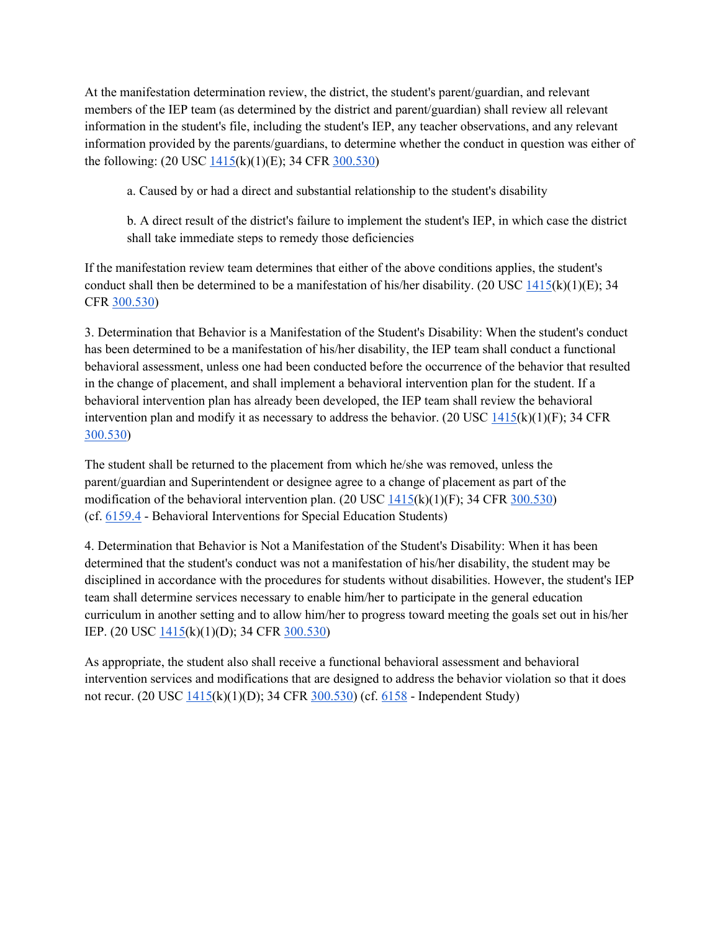members of the IEP team (as determined by the district and parent/guardian) shall review all relevant information provided by the parents/guardians, to determine whether the conduct in question was either of At the manifestation determination review, the district, the student's parent/guardian, and relevant information in the student's file, including the student's IEP, any teacher observations, and any relevant the following: (20 USC [1415\(](http://gamutonline.net/displayPolicy/364374/5)k)(1)(E); 34 CFR [300.530\)](http://gamutonline.net/displayPolicy/421141/5)

a. Caused by or had a direct and substantial relationship to the student's disability

 b. A direct result of the district's failure to implement the student's IEP, in which case the district shall take immediate steps to remedy those deficiencies

 If the manifestation review team determines that either of the above conditions applies, the student's conduct shall then be determined to be a manifestation of his/her disability. (20 USC  $1415(k)(1)(E)$ ; 34 CFR [300.530\)](http://gamutonline.net/displayPolicy/421141/5)

 3. Determination that Behavior is a Manifestation of the Student's Disability: When the student's conduct behavioral assessment, unless one had been conducted before the occurrence of the behavior that resulted behavioral intervention plan has already been developed, the IEP team shall review the behavioral has been determined to be a manifestation of his/her disability, the IEP team shall conduct a functional in the change of placement, and shall implement a behavioral intervention plan for the student. If a intervention plan and modify it as necessary to address the behavior. (20 USC  $1415(k)(1)(F)$ ; 34 CFR [300.530\)](http://gamutonline.net/displayPolicy/421141/5)

modification of the behavioral intervention plan.  $(20 \text{ USC } \frac{1415(k)(1)(F)}{5}$ ; 34 CFR  $\frac{300.530}{5}$ (cf[. 6159.4](http://gamutonline.net/displayPolicy/171708/5) - Behavioral Interventions for Special Education Students) The student shall be returned to the placement from which he/she was removed, unless the parent/guardian and Superintendent or designee agree to a change of placement as part of the

 4. Determination that Behavior is Not a Manifestation of the Student's Disability: When it has been disciplined in accordance with the procedures for students without disabilities. However, the student's IEP team shall determine services necessary to enable him/her to participate in the general education determined that the student's conduct was not a manifestation of his/her disability, the student may be curriculum in another setting and to allow him/her to progress toward meeting the goals set out in his/her IEP. (20 USC [1415\(](http://gamutonline.net/displayPolicy/364374/5)k)(1)(D); 34 CFR [300.530\)](http://gamutonline.net/displayPolicy/421141/5)

 As appropriate, the student also shall receive a functional behavioral assessment and behavioral not recur. (20 USC <u>1415(k)(1)(D)</u>; 34 CFR <u>300.530</u>) (cf. [6158](http://gamutonline.net/displayPolicy/171587/5) - Independent Study) intervention services and modifications that are designed to address the behavior violation so that it does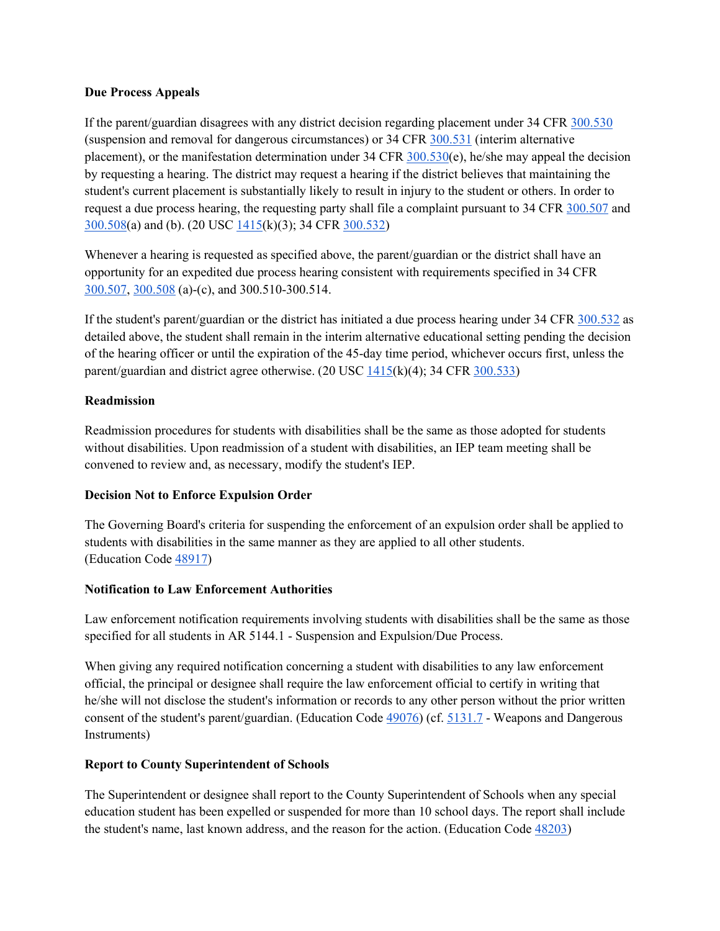## **Due Process Appeals**

If the parent/guardian disagrees with any district decision regarding placement under 34 CFR 300.530 (suspension and removal for dangerous circumstances) or  $34$  CFR  $300.531$  (interim alternative by requesting a hearing. The district may request a hearing if the district believes that maintaining the request a due process hearing, the requesting party shall file a complaint pursuant to 34 CF[R 300.507](http://gamutonline.net/displayPolicy/421127/5) and [300.508\(](http://gamutonline.net/displayPolicy/421128/5)a) and (b). (20 USC [1415\(](http://gamutonline.net/displayPolicy/364374/5)k)(3); 34 CFR [300.532\)](http://gamutonline.net/displayPolicy/421143/5) placement), or the manifestation determination under 34 CFR  $300.530(e)$ , he/she may appeal the decision student's current placement is substantially likely to result in injury to the student or others. In order to

 Whenever a hearing is requested as specified above, the parent/guardian or the district shall have an opportunity for an expedited due process hearing consistent with requirements specified in 34 CFR [300.507,](http://gamutonline.net/displayPolicy/421127/5) [300.508](http://gamutonline.net/displayPolicy/421128/5) (a)-(c), and 300.510-300.514.

If the student's parent/guardian or the district has initiated a due process hearing under 34 CFR [300.532](http://gamutonline.net/displayPolicy/421143/5) as detailed above, the student shall remain in the interim alternative educational setting pending the decision of the hearing officer or until the expiration of the 45-day time period, whichever occurs first, unless the parent/guardian and district agree otherwise. (20 USC  $1415(k)(4)$ ; 34 CFR [300.533\)](http://gamutonline.net/displayPolicy/421144/5)

# **Readmission**

Readmission procedures for students with disabilities shall be the same as those adopted for students without disabilities. Upon readmission of a student with disabilities, an IEP team meeting shall be convened to review and, as necessary, modify the student's IEP.

# **Decision Not to Enforce Expulsion Order**

(Education Code [48917\)](http://gamutonline.net/displayPolicy/132248/5) The Governing Board's criteria for suspending the enforcement of an expulsion order shall be applied to students with disabilities in the same manner as they are applied to all other students.

## **Notification to Law Enforcement Authorities**

Law enforcement notification requirements involving students with disabilities shall be the same as those specified for all students in AR 5144.1 - Suspension and Expulsion/Due Process.

 official, the principal or designee shall require the law enforcement official to certify in writing that he/she will not disclose the student's information or records to any other person without the prior written consent of the student's parent/guardian. (Education Cod[e 49076\)](http://gamutonline.net/displayPolicy/899462/5) (cf. [5131.7](http://gamutonline.net/displayPolicy/244950/5) - Weapons and Dangerous When giving any required notification concerning a student with disabilities to any law enforcement Instruments)

## **Report to County Superintendent of Schools**

The Superintendent or designee shall report to the County Superintendent of Schools when any special education student has been expelled or suspended for more than 10 school days. The report shall include the student's name, last known address, and the reason for the action. (Education Code [48203\)](http://gamutonline.net/displayPolicy/132071/5)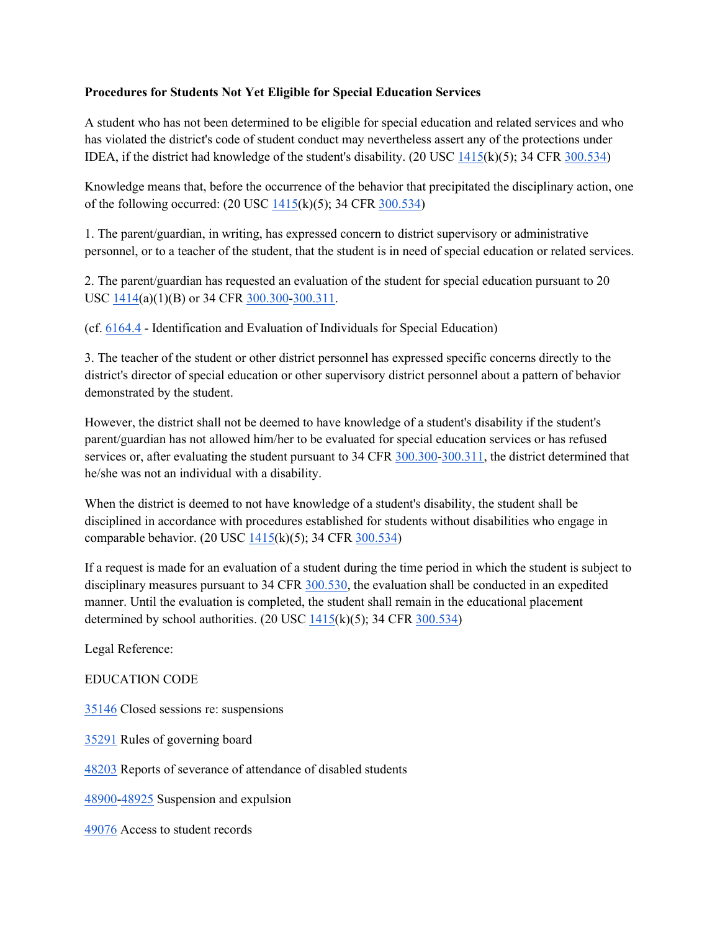## **Procedures for Students Not Yet Eligible for Special Education Services**

 A student who has not been determined to be eligible for special education and related services and who IDEA, if the district had knowledge of the student's disability.  $(20 \text{ USC } \frac{1415}{k})(5)$ ; 34 CFR  $\frac{300.534}{k}$ has violated the district's code of student conduct may nevertheless assert any of the protections under

 Knowledge means that, before the occurrence of the behavior that precipitated the disciplinary action, one of the following occurred: (20 USC  $\frac{1415}{k}(5)$ ; 34 CFR  $\frac{300.534}{k}(5)$ 

 1. The parent/guardian, in writing, has expressed concern to district supervisory or administrative personnel, or to a teacher of the student, that the student is in need of special education or related services.

2. The parent/guardian has requested an evaluation of the student for special education pursuant to 20 USC [1414\(](http://gamutonline.net/displayPolicy/364373/5)a)(1)(B) or 34 CFR [300.300-](http://gamutonline.net/displayPolicy/421100/5)[300.311.](http://gamutonline.net/displayPolicy/421111/5)

(cf[. 6164.4](http://gamutonline.net/displayPolicy/292832/5) - Identification and Evaluation of Individuals for Special Education)

 3. The teacher of the student or other district personnel has expressed specific concerns directly to the district's director of special education or other supervisory district personnel about a pattern of behavior demonstrated by the student.

 However, the district shall not be deemed to have knowledge of a student's disability if the student's services or, after evaluating the student pursuant to 34 CFR  $\frac{300.300 - 300.311}{1}$ , the district determined that he/she was not an individual with a disability. parent/guardian has not allowed him/her to be evaluated for special education services or has refused

 When the district is deemed to not have knowledge of a student's disability, the student shall be disciplined in accordance with procedures established for students without disabilities who engage in comparable behavior. (20 USC [1415\(](http://gamutonline.net/displayPolicy/364374/5)k)(5); 34 CFR [300.534\)](http://gamutonline.net/displayPolicy/421145/5)

 If a request is made for an evaluation of a student during the time period in which the student is subject to disciplinary measures pursuant to 34 CFR [300.530,](http://gamutonline.net/displayPolicy/421141/5) the evaluation shall be conducted in an expedited manner. Until the evaluation is completed, the student shall remain in the educational placement determined by school authorities.  $(20 \text{ USC } 1415(k)(5); 34 \text{ CFR } 300.534)$  $(20 \text{ USC } 1415(k)(5); 34 \text{ CFR } 300.534)$  $(20 \text{ USC } 1415(k)(5); 34 \text{ CFR } 300.534)$ 

Legal Reference:

## EDUCATION CODE

[35146](http://gamutonline.net/displayPolicy/131394/5) Closed sessions re: suspensions

[35291](http://gamutonline.net/displayPolicy/131451/5) Rules of governing board

[48203](http://gamutonline.net/displayPolicy/132071/5) Reports of severance of attendance of disabled students

[48900-](http://gamutonline.net/displayPolicy/137736/5)[48925](http://gamutonline.net/displayPolicy/132254/5) Suspension and expulsion

[49076](http://gamutonline.net/displayPolicy/899462/5) Access to student records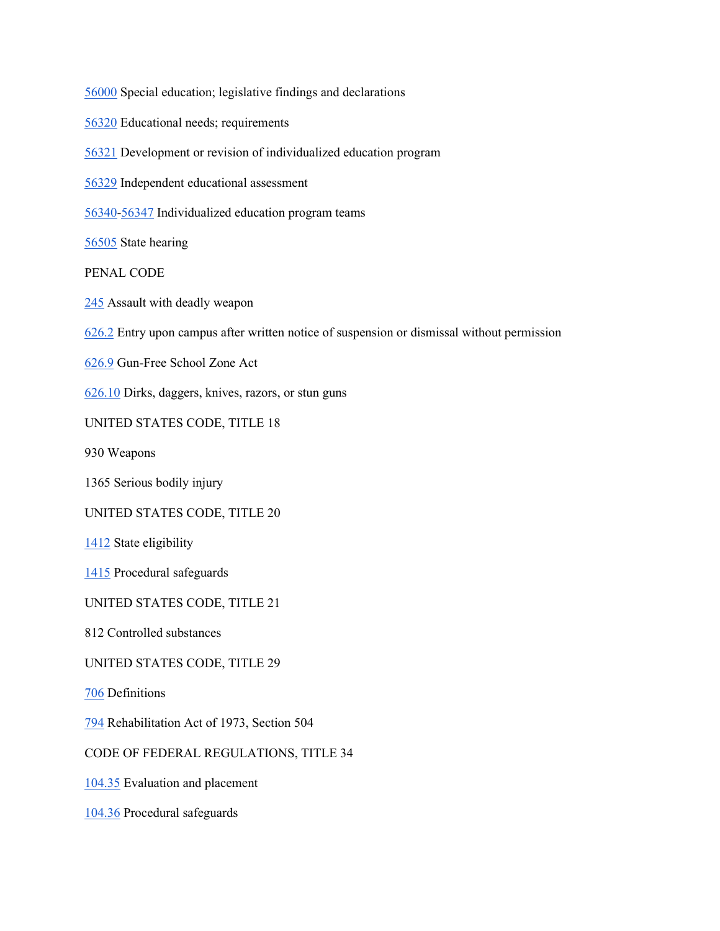[56000](http://gamutonline.net/displayPolicy/133383/5) Special education; legislative findings and declarations [56340-](http://gamutonline.net/displayPolicy/133467/5)[56347](http://gamutonline.net/displayPolicy/133474/5) Individualized education program teams [706](http://gamutonline.net/displayPolicy/190989/5) Definitions [56320](http://gamutonline.net/displayPolicy/388026/5) Educational needs; requirements [56321](http://gamutonline.net/displayPolicy/133454/5) Development or revision of individualized education program [56329](http://gamutonline.net/displayPolicy/138031/5) Independent educational assessment [56505](http://gamutonline.net/displayPolicy/138047/5) State hearing PENAL CODE [245](http://gamutonline.net/displayPolicy/169323/5) Assault with deadly weapon [626.2](http://gamutonline.net/displayPolicy/169384/5) Entry upon campus after written notice of suspension or dismissal without permission [626.9](http://gamutonline.net/displayPolicy/169652/5) Gun-Free School Zone Act [626.10](http://gamutonline.net/displayPolicy/169382/5) Dirks, daggers, knives, razors, or stun guns UNITED STATES CODE, TITLE 18 930 Weapons 1365 Serious bodily injury UNITED STATES CODE, TITLE 20 [1412](http://gamutonline.net/displayPolicy/364371/5) State eligibility [1415](http://gamutonline.net/displayPolicy/364374/5) Procedural safeguards UNITED STATES CODE, TITLE 21 812 Controlled substances UNITED STATES CODE, TITLE 29 [794](http://gamutonline.net/displayPolicy/191053/5) Rehabilitation Act of 1973, Section 504 CODE OF FEDERAL REGULATIONS, TITLE 34 [104.35](http://gamutonline.net/displayPolicy/191275/5) Evaluation and placement [104.36](http://gamutonline.net/displayPolicy/191276/5) Procedural safeguards